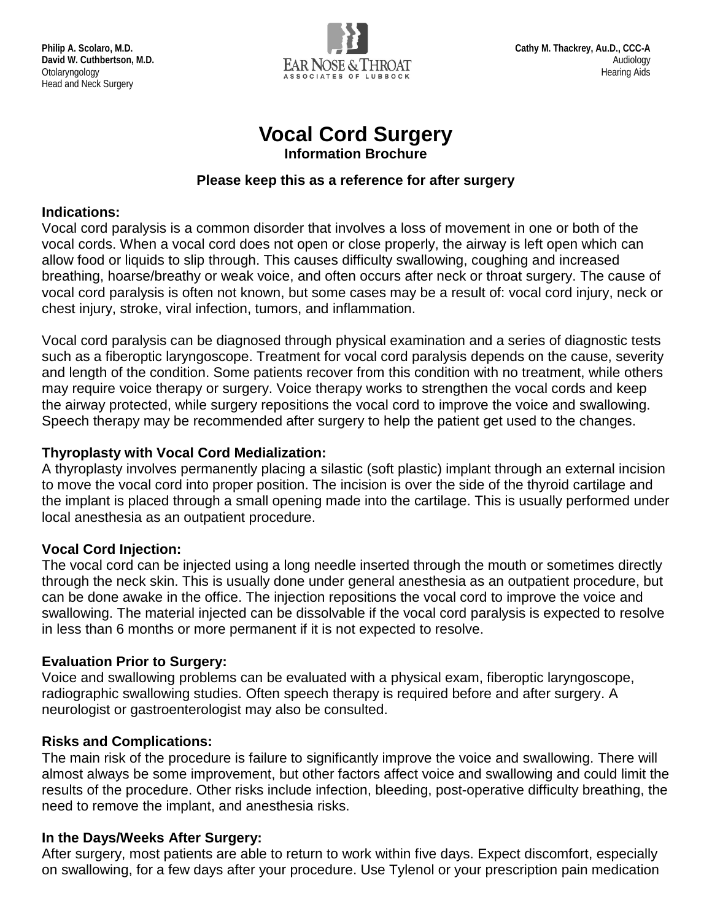

# **Vocal Cord Surgery**

**Information Brochure**

#### **Please keep this as a reference for after surgery**

#### **Indications:**

Vocal cord paralysis is a common disorder that involves a loss of movement in one or both of the vocal cords. When a vocal cord does not open or close properly, the airway is left open which can allow food or liquids to slip through. This causes difficulty swallowing, coughing and increased breathing, hoarse/breathy or weak voice, and often occurs after neck or throat surgery. The cause of vocal cord paralysis is often not known, but some cases may be a result of: vocal cord injury, neck or chest injury, stroke, viral infection, tumors, and inflammation.

Vocal cord paralysis can be diagnosed through physical examination and a series of diagnostic tests such as a fiberoptic laryngoscope. Treatment for vocal cord paralysis depends on the cause, severity and length of the condition. Some patients recover from this condition with no treatment, while others may require voice therapy or surgery. Voice therapy works to strengthen the vocal cords and keep the airway protected, while surgery repositions the vocal cord to improve the voice and swallowing. Speech therapy may be recommended after surgery to help the patient get used to the changes.

# **Thyroplasty with Vocal Cord Medialization:**

A thyroplasty involves permanently placing a silastic (soft plastic) implant through an external incision to move the vocal cord into proper position. The incision is over the side of the thyroid cartilage and the implant is placed through a small opening made into the cartilage. This is usually performed under local anesthesia as an outpatient procedure.

# **Vocal Cord Injection:**

The vocal cord can be injected using a long needle inserted through the mouth or sometimes directly through the neck skin. This is usually done under general anesthesia as an outpatient procedure, but can be done awake in the office. The injection repositions the vocal cord to improve the voice and swallowing. The material injected can be dissolvable if the vocal cord paralysis is expected to resolve in less than 6 months or more permanent if it is not expected to resolve.

# **Evaluation Prior to Surgery:**

Voice and swallowing problems can be evaluated with a physical exam, fiberoptic laryngoscope, radiographic swallowing studies. Often speech therapy is required before and after surgery. A neurologist or gastroenterologist may also be consulted.

# **Risks and Complications:**

The main risk of the procedure is failure to significantly improve the voice and swallowing. There will almost always be some improvement, but other factors affect voice and swallowing and could limit the results of the procedure. Other risks include infection, bleeding, post-operative difficulty breathing, the need to remove the implant, and anesthesia risks.

#### **In the Days/Weeks After Surgery:**

After surgery, most patients are able to return to work within five days. Expect discomfort, especially on swallowing, for a few days after your procedure. Use Tylenol or your prescription pain medication